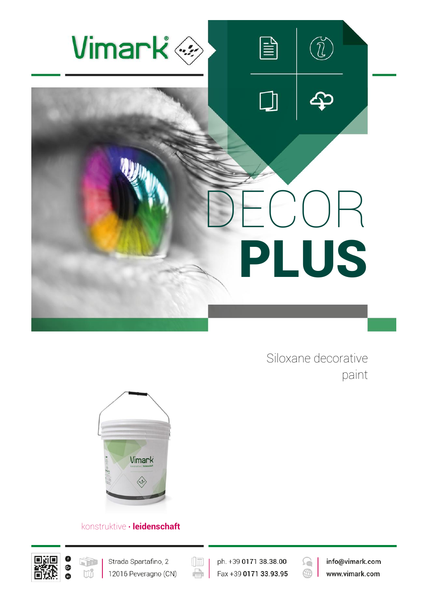

Siloxane decorative paint



## konstruktive **∙ leidenschaft**





 $(\boxed{\mathbb{E}}$ e

ph. +39 0171 38.38.00 Fax +39 0171 33.93.95

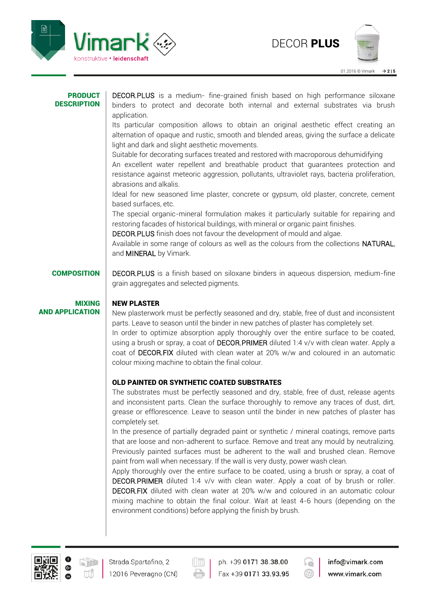



| <b>PRODUCT</b><br><b>DESCRIPTION</b>    | DECOR.PLUS is a medium- fine-grained finish based on high performance siloxane<br>binders to protect and decorate both internal and external substrates via brush<br>application.<br>Its particular composition allows to obtain an original aesthetic effect creating an<br>alternation of opaque and rustic, smooth and blended areas, giving the surface a delicate<br>light and dark and slight aesthetic movements.<br>Suitable for decorating surfaces treated and restored with macroporous dehumidifying<br>An excellent water repellent and breathable product that guarantees protection and<br>resistance against meteoric aggression, pollutants, ultraviolet rays, bacteria proliferation,<br>abrasions and alkalis.<br>Ideal for new seasoned lime plaster, concrete or gypsum, old plaster, concrete, cement<br>based surfaces, etc.<br>The special organic-mineral formulation makes it particularly suitable for repairing and<br>restoring facades of historical buildings, with mineral or organic paint finishes.<br>DECOR.PLUS finish does not favour the development of mould and algae.<br>Available in some range of colours as well as the colours from the collections NATURAL, |  |  |  |  |  |
|-----------------------------------------|-----------------------------------------------------------------------------------------------------------------------------------------------------------------------------------------------------------------------------------------------------------------------------------------------------------------------------------------------------------------------------------------------------------------------------------------------------------------------------------------------------------------------------------------------------------------------------------------------------------------------------------------------------------------------------------------------------------------------------------------------------------------------------------------------------------------------------------------------------------------------------------------------------------------------------------------------------------------------------------------------------------------------------------------------------------------------------------------------------------------------------------------------------------------------------------------------------------|--|--|--|--|--|
|                                         | and MINERAL by Vimark.                                                                                                                                                                                                                                                                                                                                                                                                                                                                                                                                                                                                                                                                                                                                                                                                                                                                                                                                                                                                                                                                                                                                                                                    |  |  |  |  |  |
| <b>COMPOSITION</b>                      | <b>DECOR.PLUS</b> is a finish based on siloxane binders in aqueous dispersion, medium-fine<br>grain aggregates and selected pigments.                                                                                                                                                                                                                                                                                                                                                                                                                                                                                                                                                                                                                                                                                                                                                                                                                                                                                                                                                                                                                                                                     |  |  |  |  |  |
| <b>MIXING</b><br><b>AND APPLICATION</b> | <b>NEW PLASTER</b><br>New plasterwork must be perfectly seasoned and dry, stable, free of dust and inconsistent<br>parts. Leave to season until the binder in new patches of plaster has completely set.<br>In order to optimize absorption apply thoroughly over the entire surface to be coated,<br>using a brush or spray, a coat of DECOR.PRIMER diluted 1:4 v/v with clean water. Apply a<br>coat of DECOR.FIX diluted with clean water at 20% w/w and coloured in an automatic<br>colour mixing machine to obtain the final colour.                                                                                                                                                                                                                                                                                                                                                                                                                                                                                                                                                                                                                                                                 |  |  |  |  |  |
|                                         | OLD PAINTED OR SYNTHETIC COATED SUBSTRATES                                                                                                                                                                                                                                                                                                                                                                                                                                                                                                                                                                                                                                                                                                                                                                                                                                                                                                                                                                                                                                                                                                                                                                |  |  |  |  |  |
|                                         | The substrates must be perfectly seasoned and dry, stable, free of dust, release agents<br>and inconsistent parts. Clean the surface thoroughly to remove any traces of dust, dirt,<br>grease or efflorescence. Leave to season until the binder in new patches of plaster has<br>completely set.                                                                                                                                                                                                                                                                                                                                                                                                                                                                                                                                                                                                                                                                                                                                                                                                                                                                                                         |  |  |  |  |  |
|                                         | In the presence of partially degraded paint or synthetic / mineral coatings, remove parts<br>that are loose and non-adherent to surface. Remove and treat any mould by neutralizing.<br>Previously painted surfaces must be adherent to the wall and brushed clean. Remove<br>paint from wall when necessary. If the wall is very dusty, power wash clean.<br>Apply thoroughly over the entire surface to be coated, using a brush or spray, a coat of<br><b>DECOR.PRIMER</b> diluted 1:4 v/v with clean water. Apply a coat of by brush or roller.<br><b>DECOR.FIX</b> diluted with clean water at 20% w/w and coloured in an automatic colour<br>mixing machine to obtain the final colour. Wait at least 4-6 hours (depending on the<br>environment conditions) before applying the finish by brush.                                                                                                                                                                                                                                                                                                                                                                                                   |  |  |  |  |  |



 $\left(\begin{matrix}\overline{\phantom{a}}\ \overline{\phantom{a}}\ \overline{\phantom{a}}\ \overline{\phantom{a}}\ \overline{\phantom{a}}\ \overline{\phantom{a}}\ \overline{\phantom{a}}\ \overline{\phantom{a}}\ \overline{\phantom{a}}\ \overline{\phantom{a}}\ \overline{\phantom{a}}\ \overline{\phantom{a}}\ \overline{\phantom{a}}\ \overline{\phantom{a}}\ \overline{\phantom{a}}\ \overline{\phantom{a}}\ \overline{\phantom{a}}\ \overline{\phantom{a}}\ \overline{\phantom{a}}\ \overline{\phantom{a}}\ \overline{\phantom{a}}\ \overline{\$  $\Rightarrow$ 

ph. +39 0171 38.38.00 Fax +39 0171 33.93.95

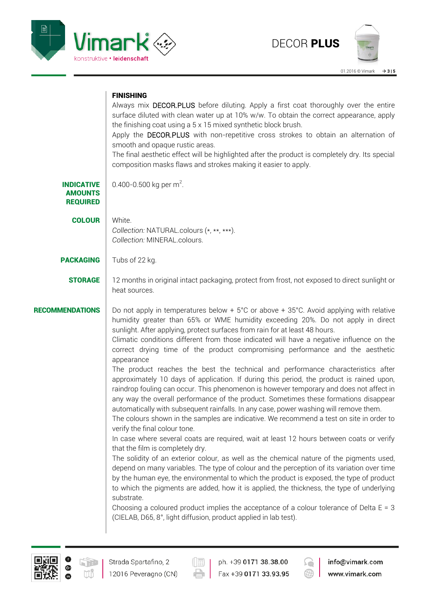



## **FINISHING**

|                                                        | Always mix <b>DECOR.PLUS</b> before diluting. Apply a first coat thoroughly over the entire<br>surface diluted with clean water up at 10% w/w. To obtain the correct appearance, apply<br>the finishing coat using a 5 x 15 mixed synthetic block brush.<br>Apply the DECOR.PLUS with non-repetitive cross strokes to obtain an alternation of<br>smooth and opaque rustic areas.<br>The final aesthetic effect will be highlighted after the product is completely dry. Its special<br>composition masks flaws and strokes making it easier to apply.                                                                                                                                                                                                                                                                                                                                                                                                                                                                                                                                                                                                                                                                                                                                                                                                                                                                                                                                                                                                                                                                                                                                                                                                              |  |  |  |  |  |
|--------------------------------------------------------|---------------------------------------------------------------------------------------------------------------------------------------------------------------------------------------------------------------------------------------------------------------------------------------------------------------------------------------------------------------------------------------------------------------------------------------------------------------------------------------------------------------------------------------------------------------------------------------------------------------------------------------------------------------------------------------------------------------------------------------------------------------------------------------------------------------------------------------------------------------------------------------------------------------------------------------------------------------------------------------------------------------------------------------------------------------------------------------------------------------------------------------------------------------------------------------------------------------------------------------------------------------------------------------------------------------------------------------------------------------------------------------------------------------------------------------------------------------------------------------------------------------------------------------------------------------------------------------------------------------------------------------------------------------------------------------------------------------------------------------------------------------------|--|--|--|--|--|
| <b>INDICATIVE</b><br><b>AMOUNTS</b><br><b>REQUIRED</b> | 0.400-0.500 kg per m <sup>2</sup> .                                                                                                                                                                                                                                                                                                                                                                                                                                                                                                                                                                                                                                                                                                                                                                                                                                                                                                                                                                                                                                                                                                                                                                                                                                                                                                                                                                                                                                                                                                                                                                                                                                                                                                                                 |  |  |  |  |  |
| <b>COLOUR</b>                                          | White.<br>Collection: NATURAL.colours (*, **, ***).<br>Collection: MINERAL.colours.                                                                                                                                                                                                                                                                                                                                                                                                                                                                                                                                                                                                                                                                                                                                                                                                                                                                                                                                                                                                                                                                                                                                                                                                                                                                                                                                                                                                                                                                                                                                                                                                                                                                                 |  |  |  |  |  |
| <b>PACKAGING</b>                                       | Tubs of 22 kg.                                                                                                                                                                                                                                                                                                                                                                                                                                                                                                                                                                                                                                                                                                                                                                                                                                                                                                                                                                                                                                                                                                                                                                                                                                                                                                                                                                                                                                                                                                                                                                                                                                                                                                                                                      |  |  |  |  |  |
| <b>STORAGE</b>                                         | 12 months in original intact packaging, protect from frost, not exposed to direct sunlight or<br>heat sources.                                                                                                                                                                                                                                                                                                                                                                                                                                                                                                                                                                                                                                                                                                                                                                                                                                                                                                                                                                                                                                                                                                                                                                                                                                                                                                                                                                                                                                                                                                                                                                                                                                                      |  |  |  |  |  |
| <b>RECOMMENDATIONS</b>                                 | Do not apply in temperatures below + $5^{\circ}$ C or above + 35 $^{\circ}$ C. Avoid applying with relative<br>humidity greater than 65% or WME humidity exceeding 20%. Do not apply in direct<br>sunlight. After applying, protect surfaces from rain for at least 48 hours.<br>Climatic conditions different from those indicated will have a negative influence on the<br>correct drying time of the product compromising performance and the aesthetic<br>appearance<br>The product reaches the best the technical and performance characteristics after<br>approximately 10 days of application. If during this period, the product is rained upon,<br>raindrop fouling can occur. This phenomenon is however temporary and does not affect in<br>any way the overall performance of the product. Sometimes these formations disappear<br>automatically with subsequent rainfalls. In any case, power washing will remove them.<br>The colours shown in the samples are indicative. We recommend a test on site in order to<br>verify the final colour tone.<br>In case where several coats are required, wait at least 12 hours between coats or verify<br>that the film is completely dry.<br>The solidity of an exterior colour, as well as the chemical nature of the pigments used,<br>depend on many variables. The type of colour and the perception of its variation over time<br>by the human eye, the environmental to which the product is exposed, the type of product<br>to which the pigments are added, how it is applied, the thickness, the type of underlying<br>substrate.<br>Choosing a coloured product implies the acceptance of a colour tolerance of Delta $E = 3$<br>(CIELAB, D65, 8°, light diffusion, product applied in lab test). |  |  |  |  |  |



 $(\boxed{\mathbb{R}}$  $\Rightarrow$ 

ph. +39 0171 38.38.00 Fax +39 0171 33.93.95

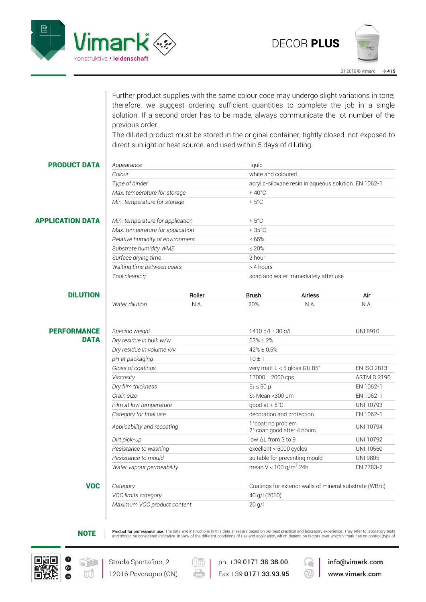

01.2016 © Vimark **4 | 5**

Further product supplies with the same colour code may undergo slight variations in tone; therefore, we suggest ordering sufficient quantities to complete the job in a single solution. If a second order has to be made, always communicate the lot number of the previous order.

The diluted product must be stored in the original container, tightly closed, not exposed to direct sunlight or heat source, and used within 5 days of diluting.

| <b>PRODUCT DATA</b>     | Appearance                       |                              | liquid                                             |                                                         |             |  |
|-------------------------|----------------------------------|------------------------------|----------------------------------------------------|---------------------------------------------------------|-------------|--|
|                         | Colour                           |                              | white and coloured                                 |                                                         |             |  |
|                         | Type of binder                   |                              |                                                    | acrylic-siloxane resin in aqueous solution EN 1062-1    |             |  |
|                         |                                  | Max. temperature for storage |                                                    |                                                         |             |  |
|                         | Min. temperature for storage     |                              | $+5^{\circ}$ C                                     |                                                         |             |  |
| <b>APPLICATION DATA</b> | Min. temperature for application |                              | $+5^{\circ}$ C                                     |                                                         |             |  |
|                         | Max. temperature for application |                              | $+35^{\circ}$ C                                    |                                                         |             |  |
|                         | Relative humidity of environment |                              | $\leq 65\%$                                        |                                                         |             |  |
|                         | Substrate humidity WME           |                              | $\leq 20\%$                                        |                                                         |             |  |
|                         | Surface drying time              |                              | 2 hour                                             |                                                         |             |  |
|                         | Waiting time between coats       |                              | > 4 hours                                          |                                                         |             |  |
|                         | Tool cleaning                    |                              | soap and water immediately after use               |                                                         |             |  |
| <b>DILUTION</b>         |                                  | Roller                       | <b>Brush</b>                                       | <b>Airless</b>                                          | Air         |  |
|                         | Water dilution                   | N.A.                         | 20%                                                | N.A.                                                    | N.A.        |  |
|                         |                                  |                              |                                                    |                                                         |             |  |
| <b>PERFORMANCE</b>      | Specific weight                  |                              | 1410 g/l $\pm$ 30 g/l<br><b>UNI 8910</b>           |                                                         |             |  |
| <b>DATA</b>             | Dry residue in bulk w/w          |                              | $63% + 2%$                                         |                                                         |             |  |
|                         | Dry residue in volume v/v        |                              | 42% ± 0,5%                                         |                                                         |             |  |
|                         | pH at packaging                  |                              | $10 \pm 1$                                         |                                                         |             |  |
|                         | Gloss of coatings                |                              | very matt L < 5 gloss GU 85°                       |                                                         | EN ISO 2813 |  |
|                         | Viscosity                        |                              | 17000 ± 2000 cps                                   |                                                         | ASTM D 2196 |  |
|                         | Dry film thickness               |                              | $E_1 \leq 50 \mu$                                  |                                                         | EN 1062-1   |  |
|                         | Grain size                       |                              | $S_2$ Mean < 300 $\mu$ m                           |                                                         | EN 1062-1   |  |
|                         | Film at low temperature          |                              | good at $+5^{\circ}$ C                             |                                                         | UNI 10793   |  |
|                         | Category for final use           |                              | decoration and protection                          |                                                         | EN 1062-1   |  |
|                         | Applicability and recoating      |                              | 1° coat: no problem<br>2° coat: good after 4 hours |                                                         | UNI 10794   |  |
|                         | Dirt pick-up                     |                              |                                                    | low ∆L from 3 to 9                                      |             |  |
|                         | Resistance to washing            |                              | excellent > 5000 cycles                            |                                                         | UNI 10560   |  |
|                         | Resistance to mould              |                              |                                                    | suitable for preventing mould                           |             |  |
|                         | Water vapour permeability        |                              | mean $V < 100$ g/m <sup>2</sup> 24h                |                                                         | EN 7783-2   |  |
| <b>VOC</b>              | Category                         |                              |                                                    | Coatings for exterior walls of mineral substrate (WB/c) |             |  |
|                         | VOC limits category              |                              |                                                    | 40 g/l (2010)                                           |             |  |
|                         | Maximum VOC product content      |                              | $20$ g/l                                           |                                                         |             |  |
|                         |                                  |                              |                                                    |                                                         |             |  |

 $\textsf{NOTE}$  Product for professional use. The data and instructions in this data sheet are based on our best practical and laboratory experience. They refer to laboratory tests and should be considered indicative. In view of





ph. +39 0171 38.38.00 Fax +39 0171 33.93.95